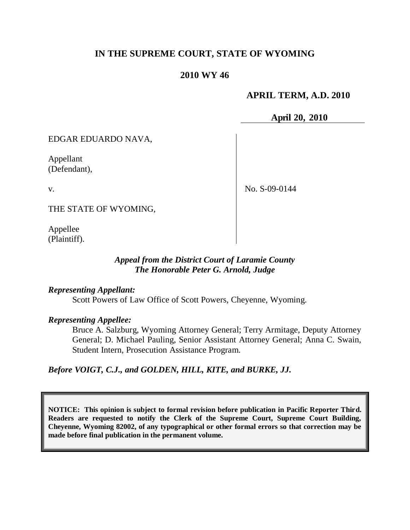# **IN THE SUPREME COURT, STATE OF WYOMING**

# **2010 WY 46**

# **APRIL TERM, A.D. 2010**

**April 20, 2010**

EDGAR EDUARDO NAVA,

Appellant (Defendant),

v.

No. S-09-0144

THE STATE OF WYOMING,

Appellee (Plaintiff).

### *Appeal from the District Court of Laramie County The Honorable Peter G. Arnold, Judge*

#### *Representing Appellant:*

Scott Powers of Law Office of Scott Powers, Cheyenne, Wyoming.

#### *Representing Appellee:*

Bruce A. Salzburg, Wyoming Attorney General; Terry Armitage, Deputy Attorney General; D. Michael Pauling, Senior Assistant Attorney General; Anna C. Swain, Student Intern, Prosecution Assistance Program.

*Before VOIGT, C.J., and GOLDEN, HILL, KITE, and BURKE, JJ.*

**NOTICE: This opinion is subject to formal revision before publication in Pacific Reporter Third. Readers are requested to notify the Clerk of the Supreme Court, Supreme Court Building, Cheyenne, Wyoming 82002, of any typographical or other formal errors so that correction may be made before final publication in the permanent volume.**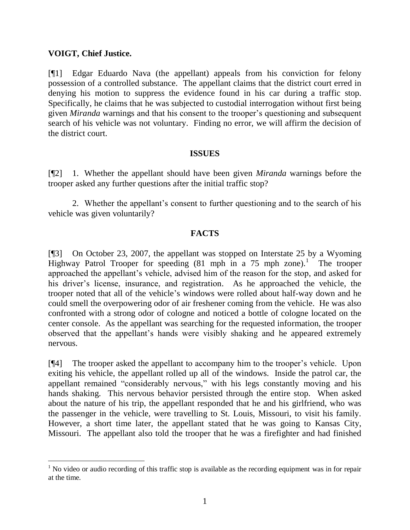### **VOIGT, Chief Justice.**

[¶1] Edgar Eduardo Nava (the appellant) appeals from his conviction for felony possession of a controlled substance. The appellant claims that the district court erred in denying his motion to suppress the evidence found in his car during a traffic stop. Specifically, he claims that he was subjected to custodial interrogation without first being given *Miranda* warnings and that his consent to the trooper"s questioning and subsequent search of his vehicle was not voluntary. Finding no error, we will affirm the decision of the district court.

#### **ISSUES**

[¶2] 1. Whether the appellant should have been given *Miranda* warnings before the trooper asked any further questions after the initial traffic stop?

2. Whether the appellant"s consent to further questioning and to the search of his vehicle was given voluntarily?

# **FACTS**

[¶3] On October 23, 2007, the appellant was stopped on Interstate 25 by a Wyoming Highway Patrol Trooper for speeding  $(81 \text{ mph in a } 75 \text{ mph zone}).$ <sup>1</sup> The trooper approached the appellant"s vehicle, advised him of the reason for the stop, and asked for his driver's license, insurance, and registration. As he approached the vehicle, the trooper noted that all of the vehicle"s windows were rolled about half-way down and he could smell the overpowering odor of air freshener coming from the vehicle. He was also confronted with a strong odor of cologne and noticed a bottle of cologne located on the center console. As the appellant was searching for the requested information, the trooper observed that the appellant"s hands were visibly shaking and he appeared extremely nervous.

[¶4] The trooper asked the appellant to accompany him to the trooper"s vehicle. Upon exiting his vehicle, the appellant rolled up all of the windows. Inside the patrol car, the appellant remained "considerably nervous," with his legs constantly moving and his hands shaking. This nervous behavior persisted through the entire stop. When asked about the nature of his trip, the appellant responded that he and his girlfriend, who was the passenger in the vehicle, were travelling to St. Louis, Missouri, to visit his family. However, a short time later, the appellant stated that he was going to Kansas City, Missouri. The appellant also told the trooper that he was a firefighter and had finished

 $1$  No video or audio recording of this traffic stop is available as the recording equipment was in for repair at the time.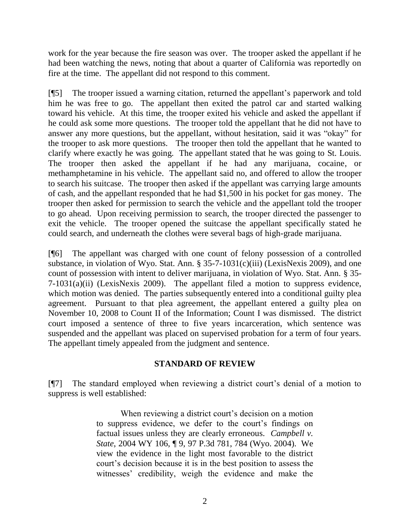work for the year because the fire season was over. The trooper asked the appellant if he had been watching the news, noting that about a quarter of California was reportedly on fire at the time. The appellant did not respond to this comment.

[¶5] The trooper issued a warning citation, returned the appellant"s paperwork and told him he was free to go. The appellant then exited the patrol car and started walking toward his vehicle. At this time, the trooper exited his vehicle and asked the appellant if he could ask some more questions. The trooper told the appellant that he did not have to answer any more questions, but the appellant, without hesitation, said it was "okay" for the trooper to ask more questions. The trooper then told the appellant that he wanted to clarify where exactly he was going. The appellant stated that he was going to St. Louis. The trooper then asked the appellant if he had any marijuana, cocaine, or methamphetamine in his vehicle. The appellant said no, and offered to allow the trooper to search his suitcase. The trooper then asked if the appellant was carrying large amounts of cash, and the appellant responded that he had \$1,500 in his pocket for gas money. The trooper then asked for permission to search the vehicle and the appellant told the trooper to go ahead. Upon receiving permission to search, the trooper directed the passenger to exit the vehicle. The trooper opened the suitcase the appellant specifically stated he could search, and underneath the clothes were several bags of high-grade marijuana.

[¶6] The appellant was charged with one count of felony possession of a controlled substance, in violation of Wyo. Stat. Ann. § 35-7-1031(c)(iii) (LexisNexis 2009), and one count of possession with intent to deliver marijuana, in violation of Wyo. Stat. Ann. § 35- 7-1031(a)(ii) (LexisNexis 2009). The appellant filed a motion to suppress evidence, which motion was denied. The parties subsequently entered into a conditional guilty plea agreement. Pursuant to that plea agreement, the appellant entered a guilty plea on November 10, 2008 to Count II of the Information; Count I was dismissed. The district court imposed a sentence of three to five years incarceration, which sentence was suspended and the appellant was placed on supervised probation for a term of four years. The appellant timely appealed from the judgment and sentence.

# **STANDARD OF REVIEW**

[¶7] The standard employed when reviewing a district court"s denial of a motion to suppress is well established:

> When reviewing a district court's decision on a motion to suppress evidence, we defer to the court"s findings on factual issues unless they are clearly erroneous. *Campbell v. State*, 2004 WY 106, ¶ 9, 97 P.3d 781, 784 (Wyo. 2004). We view the evidence in the light most favorable to the district court's decision because it is in the best position to assess the witnesses' credibility, weigh the evidence and make the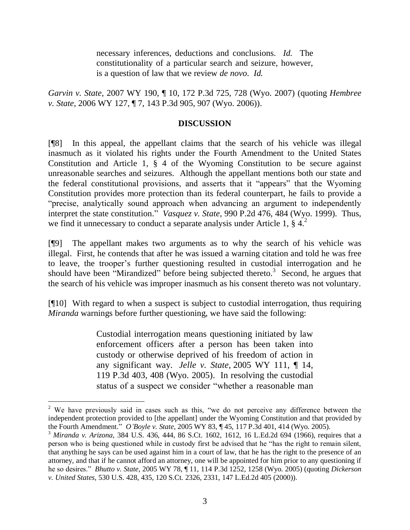necessary inferences, deductions and conclusions. *Id.* The constitutionality of a particular search and seizure, however, is a question of law that we review *de novo*. *Id.*

*Garvin v. State*, 2007 WY 190, ¶ 10, 172 P.3d 725, 728 (Wyo. 2007) (quoting *Hembree v. State*, 2006 WY 127, ¶ 7, 143 P.3d 905, 907 (Wyo. 2006)).

### **DISCUSSION**

[¶8] In this appeal, the appellant claims that the search of his vehicle was illegal inasmuch as it violated his rights under the Fourth Amendment to the United States Constitution and Article 1, § 4 of the Wyoming Constitution to be secure against unreasonable searches and seizures. Although the appellant mentions both our state and the federal constitutional provisions, and asserts that it "appears" that the Wyoming Constitution provides more protection than its federal counterpart, he fails to provide a "precise, analytically sound approach when advancing an argument to independently interpret the state constitution." *Vasquez v. State*, 990 P.2d 476, 484 (Wyo. 1999). Thus, we find it unnecessary to conduct a separate analysis under Article 1,  $\S 4$ <sup>2</sup>

[¶9] The appellant makes two arguments as to why the search of his vehicle was illegal. First, he contends that after he was issued a warning citation and told he was free to leave, the trooper"s further questioning resulted in custodial interrogation and he should have been "Mirandized" before being subjected thereto.<sup>3</sup> Second, he argues that the search of his vehicle was improper inasmuch as his consent thereto was not voluntary.

[¶10] With regard to when a suspect is subject to custodial interrogation, thus requiring *Miranda* warnings before further questioning, we have said the following:

> Custodial interrogation means questioning initiated by law enforcement officers after a person has been taken into custody or otherwise deprived of his freedom of action in any significant way. *Jelle v. State*, 2005 WY 111, ¶ 14, 119 P.3d 403, 408 (Wyo. 2005). In resolving the custodial status of a suspect we consider "whether a reasonable man

 $\overline{a}$ 

 $2$  We have previously said in cases such as this, "we do not perceive any difference between the independent protection provided to [the appellant] under the Wyoming Constitution and that provided by the Fourth Amendment." *O'Boyle v. State*, 2005 WY 83, ¶ 45, 117 P.3d 401, 414 (Wyo. 2005).

<sup>3</sup> *Miranda v. Arizona*, 384 U.S. 436, 444, 86 S.Ct. 1602, 1612, 16 L.Ed.2d 694 (1966), requires that a person who is being questioned while in custody first be advised that he "has the right to remain silent, that anything he says can be used against him in a court of law, that he has the right to the presence of an attorney, and that if he cannot afford an attorney, one will be appointed for him prior to any questioning if he so desires." *Bhutto v. State*, 2005 WY 78, ¶ 11, 114 P.3d 1252, 1258 (Wyo. 2005) (quoting *Dickerson v. United States*, 530 U.S. 428, 435, 120 S.Ct. 2326, 2331, 147 L.Ed.2d 405 (2000)).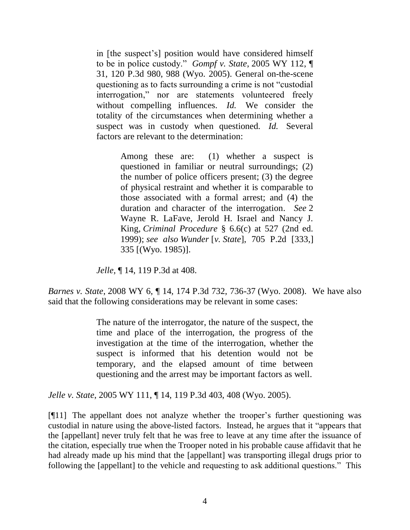in [the suspect"s] position would have considered himself to be in police custody." *Gompf v. State*, 2005 WY 112, ¶ 31, 120 P.3d 980, 988 (Wyo. 2005). General on-the-scene questioning as to facts surrounding a crime is not "custodial interrogation," nor are statements volunteered freely without compelling influences. *Id.* We consider the totality of the circumstances when determining whether a suspect was in custody when questioned. *Id.* Several factors are relevant to the determination:

> Among these are: (1) whether a suspect is questioned in familiar or neutral surroundings; (2) the number of police officers present; (3) the degree of physical restraint and whether it is comparable to those associated with a formal arrest; and (4) the duration and character of the interrogation. *See* 2 Wayne R. LaFave, Jerold H. Israel and Nancy J. King, *Criminal Procedure* § 6.6(c) at 527 (2nd ed. 1999); *see also Wunder* [*v. State*], 705 P.2d [333,] 335 [(Wyo. 1985)].

*Jelle,* ¶ 14, 119 P.3d at 408.

*Barnes v. State*, 2008 WY 6, ¶ 14, 174 P.3d 732, 736-37 (Wyo. 2008). We have also said that the following considerations may be relevant in some cases:

> The nature of the interrogator, the nature of the suspect, the time and place of the interrogation, the progress of the investigation at the time of the interrogation, whether the suspect is informed that his detention would not be temporary, and the elapsed amount of time between questioning and the arrest may be important factors as well.

*Jelle v. State*, 2005 WY 111, ¶ 14, 119 P.3d 403, 408 (Wyo. 2005).

[¶11] The appellant does not analyze whether the trooper"s further questioning was custodial in nature using the above-listed factors. Instead, he argues that it "appears that the [appellant] never truly felt that he was free to leave at any time after the issuance of the citation, especially true when the Trooper noted in his probable cause affidavit that he had already made up his mind that the [appellant] was transporting illegal drugs prior to following the [appellant] to the vehicle and requesting to ask additional questions." This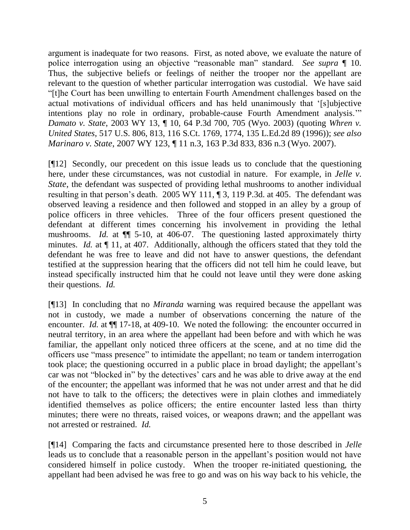argument is inadequate for two reasons. First, as noted above, we evaluate the nature of police interrogation using an objective "reasonable man" standard. *See supra* ¶ 10. Thus, the subjective beliefs or feelings of neither the trooper nor the appellant are relevant to the question of whether particular interrogation was custodial. We have said "[t]he Court has been unwilling to entertain Fourth Amendment challenges based on the actual motivations of individual officers and has held unanimously that "[s]ubjective intentions play no role in ordinary, probable-cause Fourth Amendment analysis."" *Damato v. State*, 2003 WY 13, ¶ 10, 64 P.3d 700, 705 (Wyo. 2003) (quoting *Whren v. United States*, 517 U.S. 806, 813, 116 S.Ct. 1769, 1774, 135 L.Ed.2d 89 (1996)); *see also Marinaro v. State*, 2007 WY 123, ¶ 11 n.3, 163 P.3d 833, 836 n.3 (Wyo. 2007).

[¶12] Secondly, our precedent on this issue leads us to conclude that the questioning here, under these circumstances, was not custodial in nature. For example, in *Jelle v. State*, the defendant was suspected of providing lethal mushrooms to another individual resulting in that person's death. 2005 WY 111, ¶ 3, 119 P.3d. at 405. The defendant was observed leaving a residence and then followed and stopped in an alley by a group of police officers in three vehicles. Three of the four officers present questioned the defendant at different times concerning his involvement in providing the lethal mushrooms. *Id.* at  $\P$  5-10, at 406-07. The questioning lasted approximately thirty minutes. *Id.* at  $\P$  11, at 407. Additionally, although the officers stated that they told the defendant he was free to leave and did not have to answer questions, the defendant testified at the suppression hearing that the officers did not tell him he could leave, but instead specifically instructed him that he could not leave until they were done asking their questions. *Id.* 

[¶13] In concluding that no *Miranda* warning was required because the appellant was not in custody, we made a number of observations concerning the nature of the encounter. *Id.* at  $\P$  17-18, at 409-10. We noted the following: the encounter occurred in neutral territory, in an area where the appellant had been before and with which he was familiar, the appellant only noticed three officers at the scene, and at no time did the officers use "mass presence" to intimidate the appellant; no team or tandem interrogation took place; the questioning occurred in a public place in broad daylight; the appellant"s car was not "blocked in" by the detectives' cars and he was able to drive away at the end of the encounter; the appellant was informed that he was not under arrest and that he did not have to talk to the officers; the detectives were in plain clothes and immediately identified themselves as police officers; the entire encounter lasted less than thirty minutes; there were no threats, raised voices, or weapons drawn; and the appellant was not arrested or restrained. *Id.*

[¶14] Comparing the facts and circumstance presented here to those described in *Jelle*  leads us to conclude that a reasonable person in the appellant's position would not have considered himself in police custody. When the trooper re-initiated questioning, the appellant had been advised he was free to go and was on his way back to his vehicle, the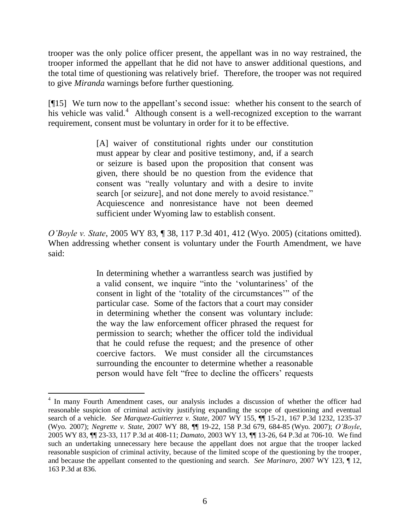trooper was the only police officer present, the appellant was in no way restrained, the trooper informed the appellant that he did not have to answer additional questions, and the total time of questioning was relatively brief. Therefore, the trooper was not required to give *Miranda* warnings before further questioning.

[¶15] We turn now to the appellant"s second issue: whether his consent to the search of his vehicle was valid.<sup>4</sup> Although consent is a well-recognized exception to the warrant requirement, consent must be voluntary in order for it to be effective.

> [A] waiver of constitutional rights under our constitution must appear by clear and positive testimony, and, if a search or seizure is based upon the proposition that consent was given, there should be no question from the evidence that consent was "really voluntary and with a desire to invite search [or seizure], and not done merely to avoid resistance." Acquiescence and nonresistance have not been deemed sufficient under Wyoming law to establish consent.

*O'Boyle v. State*, 2005 WY 83, ¶ 38, 117 P.3d 401, 412 (Wyo. 2005) (citations omitted). When addressing whether consent is voluntary under the Fourth Amendment, we have said:

> In determining whether a warrantless search was justified by a valid consent, we inquire "into the "voluntariness" of the consent in light of the "totality of the circumstances"" of the particular case. Some of the factors that a court may consider in determining whether the consent was voluntary include: the way the law enforcement officer phrased the request for permission to search; whether the officer told the individual that he could refuse the request; and the presence of other coercive factors. We must consider all the circumstances surrounding the encounter to determine whether a reasonable person would have felt "free to decline the officers' requests

 $\overline{a}$ 

<sup>&</sup>lt;sup>4</sup> In many Fourth Amendment cases, our analysis includes a discussion of whether the officer had reasonable suspicion of criminal activity justifying expanding the scope of questioning and eventual search of a vehicle. *See Marquez-Guitierrez v. State,* 2007 WY 155, ¶¶ 15-21, 167 P.3d 1232, 1235-37 (Wyo. 2007); *Negrette v. State*, 2007 WY 88, ¶¶ 19-22, 158 P.3d 679, 684-85 (Wyo. 2007); *O'Boyle*, 2005 WY 83, ¶¶ 23-33, 117 P.3d at 408-11; *Damato*, 2003 WY 13, ¶¶ 13-26, 64 P.3d at 706-10. We find such an undertaking unnecessary here because the appellant does not argue that the trooper lacked reasonable suspicion of criminal activity, because of the limited scope of the questioning by the trooper, and because the appellant consented to the questioning and search. *See Marinaro*, 2007 WY 123, ¶ 12, 163 P.3d at 836.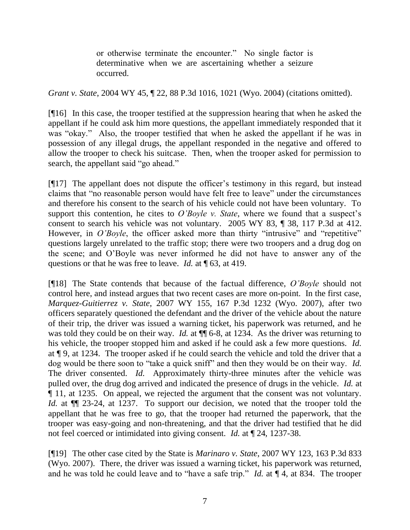or otherwise terminate the encounter." No single factor is determinative when we are ascertaining whether a seizure occurred.

*Grant v. State*, 2004 WY 45, ¶ 22, 88 P.3d 1016, 1021 (Wyo. 2004) (citations omitted).

[¶16] In this case, the trooper testified at the suppression hearing that when he asked the appellant if he could ask him more questions, the appellant immediately responded that it was "okay." Also, the trooper testified that when he asked the appellant if he was in possession of any illegal drugs, the appellant responded in the negative and offered to allow the trooper to check his suitcase. Then, when the trooper asked for permission to search, the appellant said "go ahead."

[¶17] The appellant does not dispute the officer"s testimony in this regard, but instead claims that "no reasonable person would have felt free to leave" under the circumstances and therefore his consent to the search of his vehicle could not have been voluntary. To support this contention, he cites to *O'Boyle v. State*, where we found that a suspect's consent to search his vehicle was not voluntary. 2005 WY 83, ¶ 38, 117 P.3d at 412. However, in *O'Boyle*, the officer asked more than thirty "intrusive" and "repetitive" questions largely unrelated to the traffic stop; there were two troopers and a drug dog on the scene; and O"Boyle was never informed he did not have to answer any of the questions or that he was free to leave. *Id.* at  $\P$  63, at 419.

[¶18] The State contends that because of the factual difference, *O'Boyle* should not control here, and instead argues that two recent cases are more on-point. In the first case, *Marquez-Guitierrez v. State*, 2007 WY 155, 167 P.3d 1232 (Wyo. 2007), after two officers separately questioned the defendant and the driver of the vehicle about the nature of their trip, the driver was issued a warning ticket, his paperwork was returned, and he was told they could be on their way. *Id.* at  $\P$  6-8, at 1234. As the driver was returning to his vehicle, the trooper stopped him and asked if he could ask a few more questions. *Id.*  at ¶ 9, at 1234. The trooper asked if he could search the vehicle and told the driver that a dog would be there soon to "take a quick sniff" and then they would be on their way. *Id.*  The driver consented. *Id.* Approximately thirty-three minutes after the vehicle was pulled over, the drug dog arrived and indicated the presence of drugs in the vehicle. *Id.* at ¶ 11, at 1235. On appeal, we rejected the argument that the consent was not voluntary. *Id.* at  $\P$  23-24, at 1237. To support our decision, we noted that the trooper told the appellant that he was free to go, that the trooper had returned the paperwork, that the trooper was easy-going and non-threatening, and that the driver had testified that he did not feel coerced or intimidated into giving consent. *Id.* at ¶ 24, 1237-38.

[¶19] The other case cited by the State is *Marinaro v. State*, 2007 WY 123, 163 P.3d 833 (Wyo. 2007). There, the driver was issued a warning ticket, his paperwork was returned, and he was told he could leave and to "have a safe trip." *Id.* at  $\P$  4, at 834. The trooper